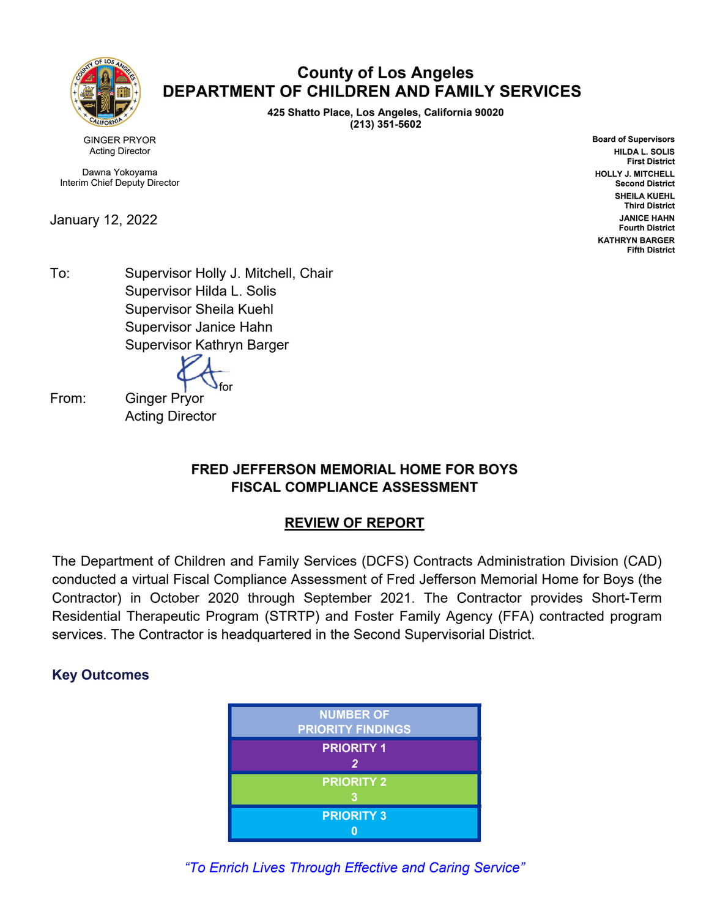

## **County of Los Angeles DEPARTMENT OF CHILDREN AND FAMILY SERVICES**

**425 Shatto Place, Los Angeles, California 90020 (213) 351-5602**

GINGER PRYOR Acting Director

Dawna Yokoyama Interim Chief Deputy Director

January 12, 2022

**Board of Supervisors HILDA L. SOLIS First District HOLLY J. MITCHELL Second District SHEILA KUEHL Third District JANICE HAHN Fourth District KATHRYN BARGER Fifth District**

To: Supervisor Holly J. Mitchell, Chair Supervisor Hilda L. Solis Supervisor Sheila Kuehl Supervisor Janice Hahn Supervisor Kathryn Barger

for

From: Ginger Pryor Acting Director

### **FRED JEFFERSON MEMORIAL HOME FOR BOYS FISCAL COMPLIANCE ASSESSMENT**

## **REVIEW OF REPORT**

The Department of Children and Family Services (DCFS) Contracts Administration Division (CAD) conducted a virtual Fiscal Compliance Assessment of Fred Jefferson Memorial Home for Boys (the Contractor) in October 2020 through September 2021. The Contractor provides Short-Term Residential Therapeutic Program (STRTP) and Foster Family Agency (FFA) contracted program services. The Contractor is headquartered in the Second Supervisorial District.

## **Key Outcomes**



*"To Enrich Lives Through Effective and Caring Service"*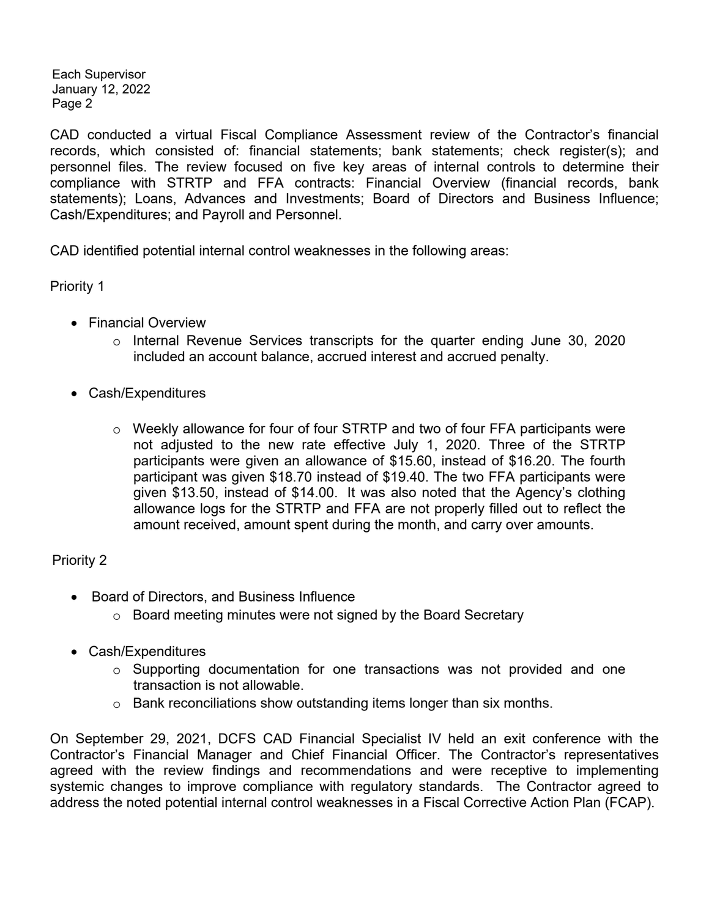Each Supervisor January 12, 2022 Page 2

CAD conducted a virtual Fiscal Compliance Assessment review of the Contractor's financial records, which consisted of: financial statements; bank statements; check register(s); and personnel files. The review focused on five key areas of internal controls to determine their compliance with STRTP and FFA contracts: Financial Overview (financial records, bank statements); Loans, Advances and Investments; Board of Directors and Business Influence; Cash/Expenditures; and Payroll and Personnel.

CAD identified potential internal control weaknesses in the following areas:

Priority 1

- Financial Overview
	- o Internal Revenue Services transcripts for the quarter ending June 30, 2020 included an account balance, accrued interest and accrued penalty.
- Cash/Expenditures
	- $\circ$  Weekly allowance for four of four STRTP and two of four FFA participants were not adjusted to the new rate effective July 1, 2020. Three of the STRTP participants were given an allowance of \$15.60, instead of \$16.20. The fourth participant was given \$18.70 instead of \$19.40. The two FFA participants were given \$13.50, instead of \$14.00. It was also noted that the Agency's clothing allowance logs for the STRTP and FFA are not properly filled out to reflect the amount received, amount spent during the month, and carry over amounts.

### Priority 2

- Board of Directors, and Business Influence
	- o Board meeting minutes were not signed by the Board Secretary
- Cash/Expenditures
	- o Supporting documentation for one transactions was not provided and one transaction is not allowable.
	- o Bank reconciliations show outstanding items longer than six months.

On September 29, 2021, DCFS CAD Financial Specialist IV held an exit conference with the Contractor's Financial Manager and Chief Financial Officer. The Contractor's representatives agreed with the review findings and recommendations and were receptive to implementing systemic changes to improve compliance with regulatory standards. The Contractor agreed to address the noted potential internal control weaknesses in a Fiscal Corrective Action Plan (FCAP).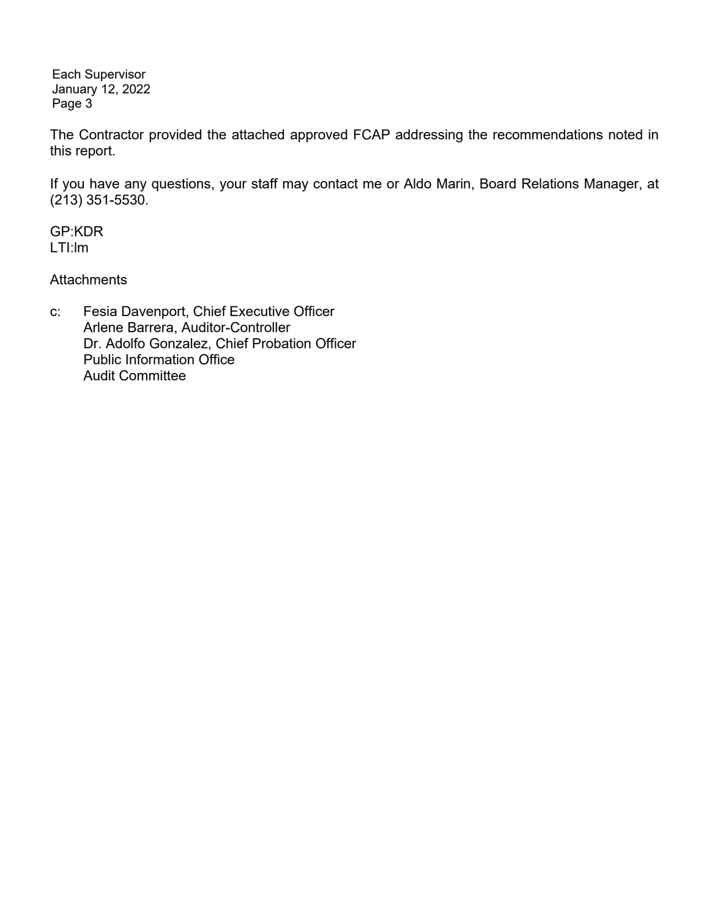Each Supervisor January 12, 2022 Page 3

The Contractor provided the attached approved FCAP addressing the recommendations noted in this report.

If you have any questions, your staff may contact me or Aldo Marin, Board Relations Manager, at (213) 351-5530.

GP:KDR LTI:lm

**Attachments** 

c: Fesia Davenport, Chief Executive Officer Arlene Barrera, Auditor-Controller Dr. Adolfo Gonzalez, Chief Probation Officer Public Information Office Audit Committee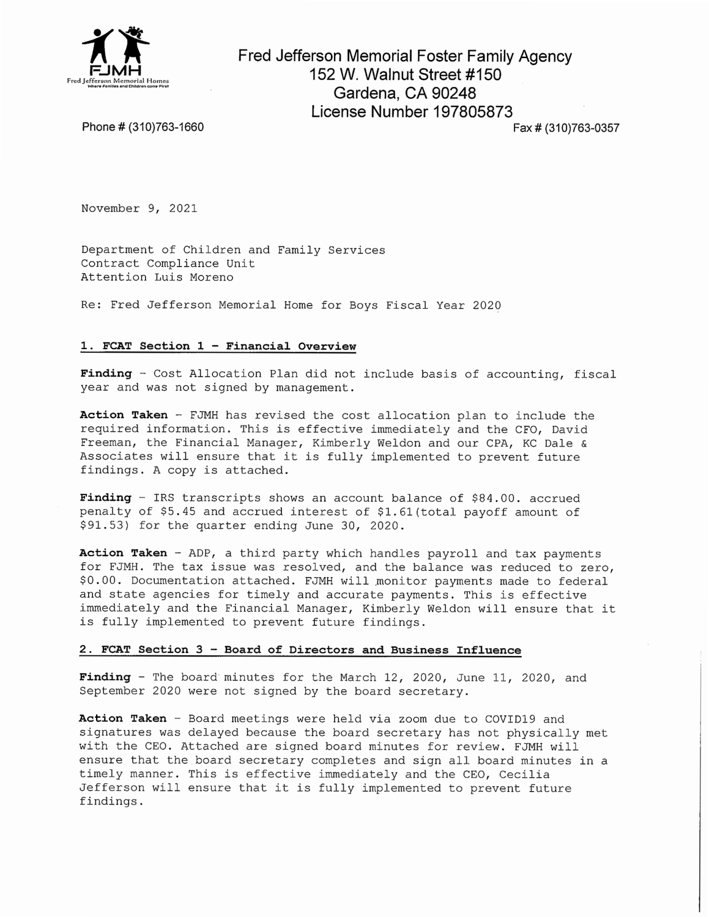

Fred Jefferson Memorial Foster Family Agency 152 W. Walnut Street #150 Gardena, CA 90248 License Number 197805873

Phone # (310)763-1660

Fax # (310)763-0357

November 9, 2021

Department of Children and Family Services Contract Compliance Unit Attention Luis Moreno

Re: Fred Jefferson Memorial Home for Boys Fiscal Year 2020

#### 1. FCAT Section 1 - Financial Overview

Finding - Cost Allocation Plan did not include basis of accounting, fiscal year and was not signed by management.

Action Taken - FJMH has revised the cost allocation plan to include the required information. This is effective immediately and the CFO, David Freeman, the Financial Manager, Kimberly Weldon and our CPA, KC Dale & Associates will ensure that it is fully implemented to prevent future findings. A copy is attached.

Finding - IRS transcripts shows an account balance of \$84.00. accrued penalty of \$5.45 and accrued interest of \$1.61(total payoff amount of \$91.53) for the quarter ending June 30, 2020.

Action Taken - ADP, a third party which handles payroll and tax payments for FJMH. The tax issue was resolved, and the balance was reduced to zero, \$0.00. Documentation attached. FJMH will monitor payments made to federal and state agencies for timely and accurate payments. This is effective immediately and the Financial Manager, Kimberly Weldon will ensure that it is fully implemented to prevent future findings.

### 2. FCAT Section 3 - Board of Directors and Business Influence

Finding - The board minutes for the March 12, 2020, June 11, 2020, and September 2020 were not signed by the board secretary.

Action Taken - Board meetings were held via zoom due to COVID19 and signatures was delayed because the board secretary has not physically met with the CEO. Attached are signed board minutes for review. FJMH will ensure that the board secretary completes and sign all board minutes in a timely manner. This is effective immediately and the CEO, Cecilia Jefferson will ensure that it is fully implemented to prevent future findings.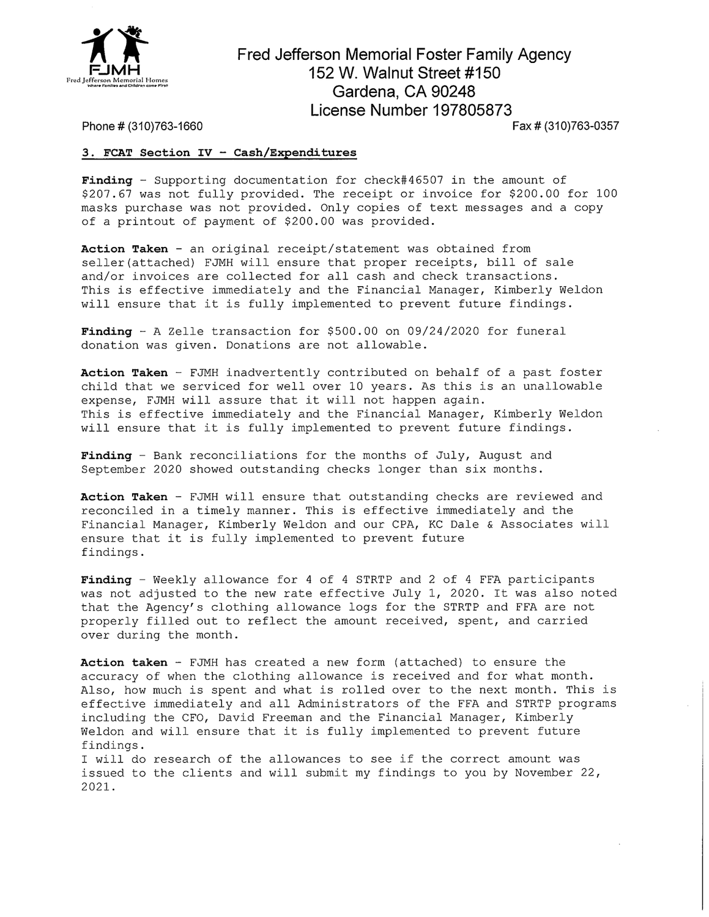

## Fred Jefferson Memorial Foster Family Agency 152 W. Walnut Street #150 Gardena, CA 90248 License Number 197805873

Fax # (310)763-0357

#### Phone # (310)763-1660

### 3. FCAT Section IV - Cash/Expenditures

Finding - Supporting documentation for check#46507 in the amount of \$207.67 was not fully provided. The receipt or invoice for \$200.00 for 100 masks purchase was not provided. Only copies of text messages and a copy of a printout of payment of \$200.00 was provided.

Action Taken - an original receipt/statement was obtained from seller(attached) FJMH will ensure that proper receipts, bill of sale and/or invoices are collected for all cash and check transactions. This is effective immediately and the Financial Manager, Kimberly Weldon will ensure that it is fully implemented to prevent future findings.

Finding - A Zelle transaction for \$500.00 on 09/24/2020 for funeral donation was given. Donations are not allowable.

Action Taken - FJMH inadvertently contributed on behalf of a past foster child that we serviced for well over 10 years. As this is an unallowable expense, FJMH will assure that it will not happen again. This is effective immediately and the Financial Manager, Kimberly Weldon will ensure that it is fully implemented to prevent future findings.

Finding - Bank reconciliations for the months of July, August and September 2020 showed outstanding checks longer than six months.

Action Taken - FJMH will ensure that outstanding checks are reviewed and reconciled in a timely manner. This is effective immediately and the Financial Manager, Kimberly Weldon and our CPA, KC Dale & Associates will ensure that it is fully implemented to prevent future findings.

Finding - Weekly allowance for 4 of 4 STRTP and 2 of 4 FFA participants was not adjusted to the new rate effective July 1, 2020. It was also noted that the Agency's clothing allowance logs for the STRTP and FFA are not properly filled out to reflect the amount received, spent, and carried over during the month.

Action taken - FJMH has created a new form (attached) to ensure the accuracy of when the clothing allowance is received and for what month. Also, how much is spent and what is rolled over to the next month. This is effective immediately and all Administrators of the FFA and STRTP programs including the CFO, David Freeman and the Financial Manager, Kimberly Weldon and will ensure that it is fully implemented to prevent future findings.

I will do research of the allowances to see if the correct amount was issued to the clients and will submit my findings to you by November 22, 2021.